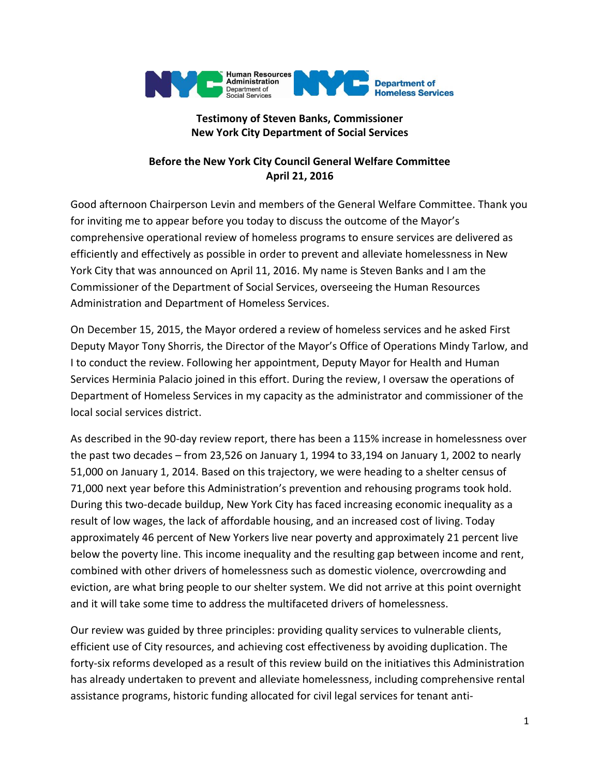

# **Testimony of Steven Banks, Commissioner New York City Department of Social Services**

# **Before the New York City Council General Welfare Committee April 21, 2016**

Good afternoon Chairperson Levin and members of the General Welfare Committee. Thank you for inviting me to appear before you today to discuss the outcome of the Mayor's comprehensive operational review of homeless programs to ensure services are delivered as efficiently and effectively as possible in order to prevent and alleviate homelessness in New York City that was announced on April 11, 2016. My name is Steven Banks and I am the Commissioner of the Department of Social Services, overseeing the Human Resources Administration and Department of Homeless Services.

On December 15, 2015, the Mayor ordered a review of homeless services and he asked First Deputy Mayor Tony Shorris, the Director of the Mayor's Office of Operations Mindy Tarlow, and I to conduct the review. Following her appointment, Deputy Mayor for Health and Human Services Herminia Palacio joined in this effort. During the review, I oversaw the operations of Department of Homeless Services in my capacity as the administrator and commissioner of the local social services district.

As described in the 90-day review report, there has been a 115% increase in homelessness over the past two decades – from 23,526 on January 1, 1994 to 33,194 on January 1, 2002 to nearly 51,000 on January 1, 2014. Based on this trajectory, we were heading to a shelter census of 71,000 next year before this Administration's prevention and rehousing programs took hold. During this two-decade buildup, New York City has faced increasing economic inequality as a result of low wages, the lack of affordable housing, and an increased cost of living. Today approximately 46 percent of New Yorkers live near poverty and approximately 21 percent live below the poverty line. This income inequality and the resulting gap between income and rent, combined with other drivers of homelessness such as domestic violence, overcrowding and eviction, are what bring people to our shelter system. We did not arrive at this point overnight and it will take some time to address the multifaceted drivers of homelessness.

Our review was guided by three principles: providing quality services to vulnerable clients, efficient use of City resources, and achieving cost effectiveness by avoiding duplication. The forty-six reforms developed as a result of this review build on the initiatives this Administration has already undertaken to prevent and alleviate homelessness, including comprehensive rental assistance programs, historic funding allocated for civil legal services for tenant anti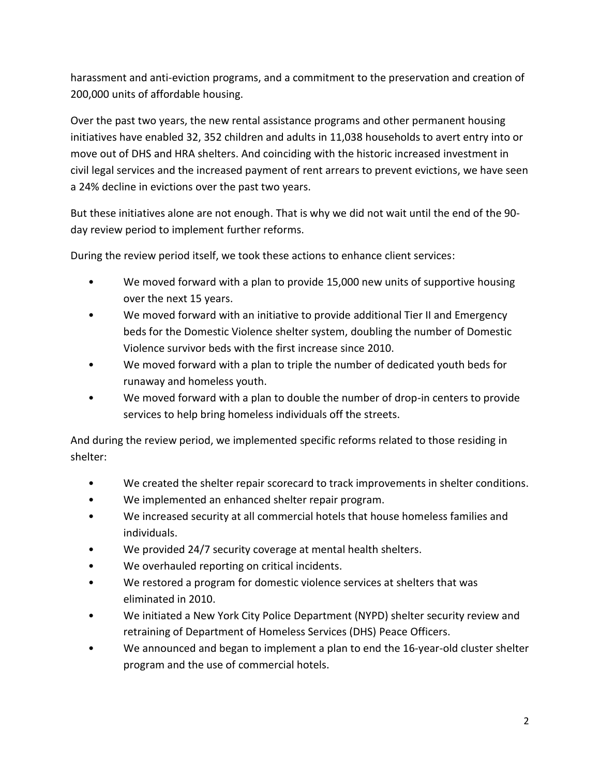harassment and anti-eviction programs, and a commitment to the preservation and creation of 200,000 units of affordable housing.

Over the past two years, the new rental assistance programs and other permanent housing initiatives have enabled 32, 352 children and adults in 11,038 households to avert entry into or move out of DHS and HRA shelters. And coinciding with the historic increased investment in civil legal services and the increased payment of rent arrears to prevent evictions, we have seen a 24% decline in evictions over the past two years.

But these initiatives alone are not enough. That is why we did not wait until the end of the 90 day review period to implement further reforms.

During the review period itself, we took these actions to enhance client services:

- We moved forward with a plan to provide 15,000 new units of supportive housing over the next 15 years.
- We moved forward with an initiative to provide additional Tier II and Emergency beds for the Domestic Violence shelter system, doubling the number of Domestic Violence survivor beds with the first increase since 2010.
- We moved forward with a plan to triple the number of dedicated youth beds for runaway and homeless youth.
- We moved forward with a plan to double the number of drop-in centers to provide services to help bring homeless individuals off the streets.

And during the review period, we implemented specific reforms related to those residing in shelter:

- We created the shelter repair scorecard to track improvements in shelter conditions.
- We implemented an enhanced shelter repair program.
- We increased security at all commercial hotels that house homeless families and individuals.
- We provided 24/7 security coverage at mental health shelters.
- We overhauled reporting on critical incidents.
- We restored a program for domestic violence services at shelters that was eliminated in 2010.
- We initiated a New York City Police Department (NYPD) shelter security review and retraining of Department of Homeless Services (DHS) Peace Officers.
- We announced and began to implement a plan to end the 16-year-old cluster shelter program and the use of commercial hotels.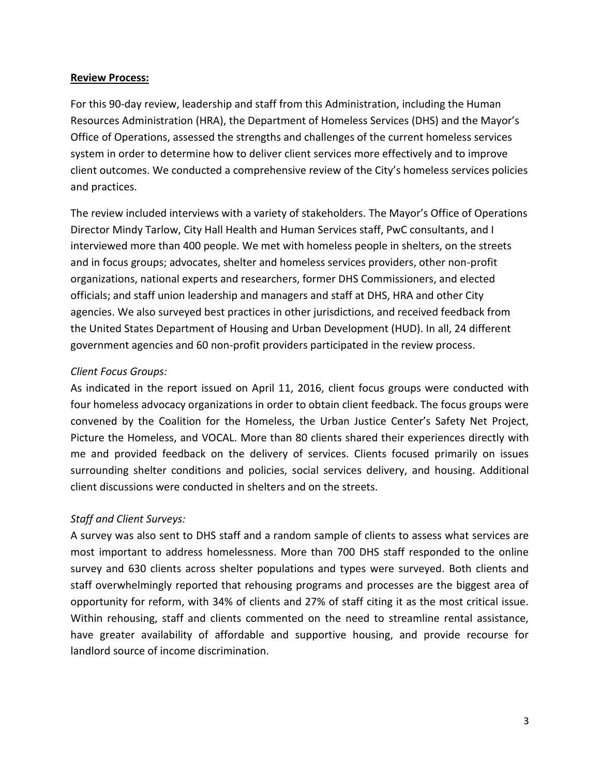#### **Review Process:**

For this 90-day review, leadership and staff from this Administration, including the Human Resources Administration (HRA), the Department of Homeless Services (DHS) and the Mayor's Office of Operations, assessed the strengths and challenges of the current homeless services system in order to determine how to deliver client services more effectively and to improve client outcomes. We conducted a comprehensive review of the City's homeless services policies and practices.

The review included interviews with a variety of stakeholders. The Mayor's Office of Operations Director Mindy Tarlow, City Hall Health and Human Services staff, PwC consultants, and I interviewed more than 400 people. We met with homeless people in shelters, on the streets and in focus groups; advocates, shelter and homeless services providers, other non-profit organizations, national experts and researchers, former DHS Commissioners, and elected officials; and staff union leadership and managers and staff at DHS, HRA and other City agencies. We also surveyed best practices in other jurisdictions, and received feedback from the United States Department of Housing and Urban Development (HUD). In all, 24 different government agencies and 60 non-profit providers participated in the review process.

#### *Client Focus Groups:*

As indicated in the report issued on April 11, 2016, client focus groups were conducted with four homeless advocacy organizations in order to obtain client feedback. The focus groups were convened by the Coalition for the Homeless, the Urban Justice Center's Safety Net Project, Picture the Homeless, and VOCAL. More than 80 clients shared their experiences directly with me and provided feedback on the delivery of services. Clients focused primarily on issues surrounding shelter conditions and policies, social services delivery, and housing. Additional client discussions were conducted in shelters and on the streets.

# *Staff and Client Surveys:*

A survey was also sent to DHS staff and a random sample of clients to assess what services are most important to address homelessness. More than 700 DHS staff responded to the online survey and 630 clients across shelter populations and types were surveyed. Both clients and staff overwhelmingly reported that rehousing programs and processes are the biggest area of opportunity for reform, with 34% of clients and 27% of staff citing it as the most critical issue. Within rehousing, staff and clients commented on the need to streamline rental assistance, have greater availability of affordable and supportive housing, and provide recourse for landlord source of income discrimination.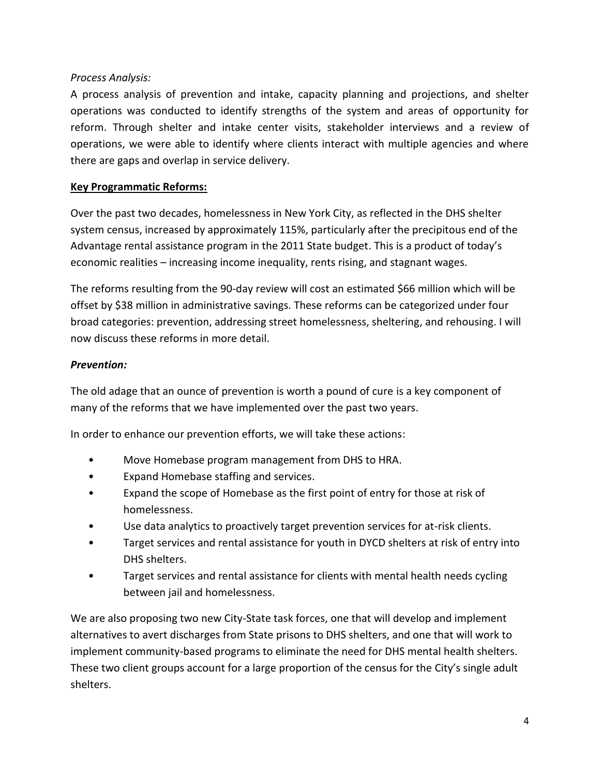# *Process Analysis:*

A process analysis of prevention and intake, capacity planning and projections, and shelter operations was conducted to identify strengths of the system and areas of opportunity for reform. Through shelter and intake center visits, stakeholder interviews and a review of operations, we were able to identify where clients interact with multiple agencies and where there are gaps and overlap in service delivery.

### **Key Programmatic Reforms:**

Over the past two decades, homelessness in New York City, as reflected in the DHS shelter system census, increased by approximately 115%, particularly after the precipitous end of the Advantage rental assistance program in the 2011 State budget. This is a product of today's economic realities – increasing income inequality, rents rising, and stagnant wages.

The reforms resulting from the 90-day review will cost an estimated \$66 million which will be offset by \$38 million in administrative savings. These reforms can be categorized under four broad categories: prevention, addressing street homelessness, sheltering, and rehousing. I will now discuss these reforms in more detail.

#### *Prevention:*

The old adage that an ounce of prevention is worth a pound of cure is a key component of many of the reforms that we have implemented over the past two years.

In order to enhance our prevention efforts, we will take these actions:

- Move Homebase program management from DHS to HRA.
- Expand Homebase staffing and services.
- Expand the scope of Homebase as the first point of entry for those at risk of homelessness.
- Use data analytics to proactively target prevention services for at-risk clients.
- Target services and rental assistance for youth in DYCD shelters at risk of entry into DHS shelters.
- Target services and rental assistance for clients with mental health needs cycling between jail and homelessness.

We are also proposing two new City-State task forces, one that will develop and implement alternatives to avert discharges from State prisons to DHS shelters, and one that will work to implement community-based programs to eliminate the need for DHS mental health shelters. These two client groups account for a large proportion of the census for the City's single adult shelters.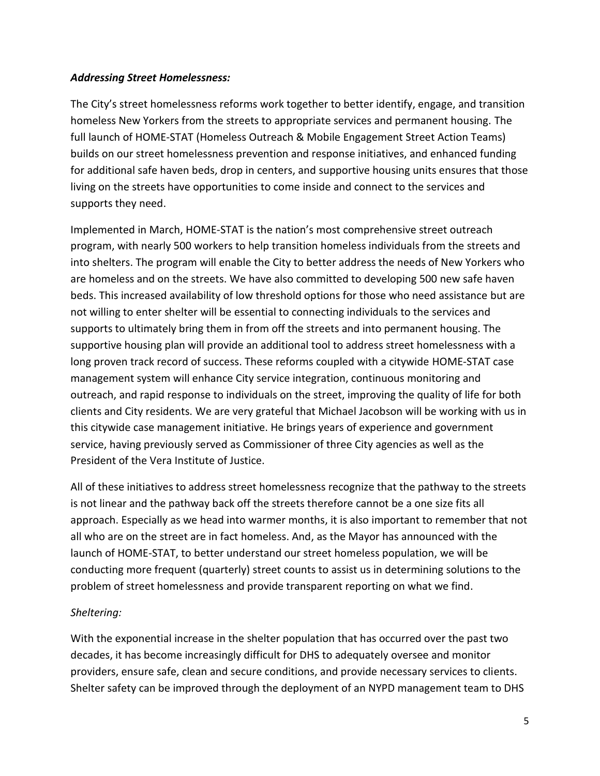### *Addressing Street Homelessness:*

The City's street homelessness reforms work together to better identify, engage, and transition homeless New Yorkers from the streets to appropriate services and permanent housing. The full launch of HOME-STAT (Homeless Outreach & Mobile Engagement Street Action Teams) builds on our street homelessness prevention and response initiatives, and enhanced funding for additional safe haven beds, drop in centers, and supportive housing units ensures that those living on the streets have opportunities to come inside and connect to the services and supports they need.

Implemented in March, HOME-STAT is the nation's most comprehensive street outreach program, with nearly 500 workers to help transition homeless individuals from the streets and into shelters. The program will enable the City to better address the needs of New Yorkers who are homeless and on the streets. We have also committed to developing 500 new safe haven beds. This increased availability of low threshold options for those who need assistance but are not willing to enter shelter will be essential to connecting individuals to the services and supports to ultimately bring them in from off the streets and into permanent housing. The supportive housing plan will provide an additional tool to address street homelessness with a long proven track record of success. These reforms coupled with a citywide HOME-STAT case management system will enhance City service integration, continuous monitoring and outreach, and rapid response to individuals on the street, improving the quality of life for both clients and City residents. We are very grateful that Michael Jacobson will be working with us in this citywide case management initiative. He brings years of experience and government service, having previously served as Commissioner of three City agencies as well as the President of the Vera Institute of Justice.

All of these initiatives to address street homelessness recognize that the pathway to the streets is not linear and the pathway back off the streets therefore cannot be a one size fits all approach. Especially as we head into warmer months, it is also important to remember that not all who are on the street are in fact homeless. And, as the Mayor has announced with the launch of HOME-STAT, to better understand our street homeless population, we will be conducting more frequent (quarterly) street counts to assist us in determining solutions to the problem of street homelessness and provide transparent reporting on what we find.

# *Sheltering:*

With the exponential increase in the shelter population that has occurred over the past two decades, it has become increasingly difficult for DHS to adequately oversee and monitor providers, ensure safe, clean and secure conditions, and provide necessary services to clients. Shelter safety can be improved through the deployment of an NYPD management team to DHS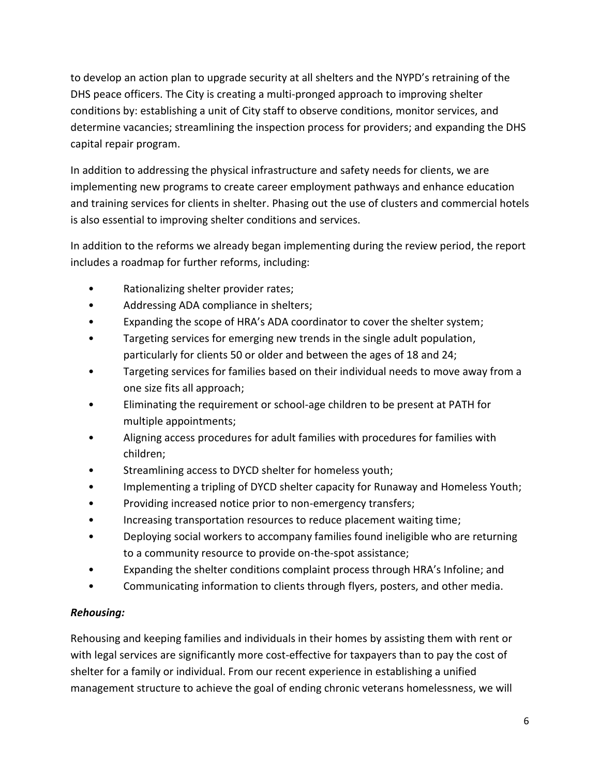to develop an action plan to upgrade security at all shelters and the NYPD's retraining of the DHS peace officers. The City is creating a multi-pronged approach to improving shelter conditions by: establishing a unit of City staff to observe conditions, monitor services, and determine vacancies; streamlining the inspection process for providers; and expanding the DHS capital repair program.

In addition to addressing the physical infrastructure and safety needs for clients, we are implementing new programs to create career employment pathways and enhance education and training services for clients in shelter. Phasing out the use of clusters and commercial hotels is also essential to improving shelter conditions and services.

In addition to the reforms we already began implementing during the review period, the report includes a roadmap for further reforms, including:

- Rationalizing shelter provider rates;
- Addressing ADA compliance in shelters;
- Expanding the scope of HRA's ADA coordinator to cover the shelter system;
- Targeting services for emerging new trends in the single adult population, particularly for clients 50 or older and between the ages of 18 and 24;
- Targeting services for families based on their individual needs to move away from a one size fits all approach;
- Eliminating the requirement or school-age children to be present at PATH for multiple appointments;
- Aligning access procedures for adult families with procedures for families with children;
- Streamlining access to DYCD shelter for homeless youth;
- Implementing a tripling of DYCD shelter capacity for Runaway and Homeless Youth;
- Providing increased notice prior to non-emergency transfers;
- Increasing transportation resources to reduce placement waiting time;
- Deploying social workers to accompany families found ineligible who are returning to a community resource to provide on-the-spot assistance;
- Expanding the shelter conditions complaint process through HRA's Infoline; and
- Communicating information to clients through flyers, posters, and other media.

# *Rehousing:*

Rehousing and keeping families and individuals in their homes by assisting them with rent or with legal services are significantly more cost-effective for taxpayers than to pay the cost of shelter for a family or individual. From our recent experience in establishing a unified management structure to achieve the goal of ending chronic veterans homelessness, we will